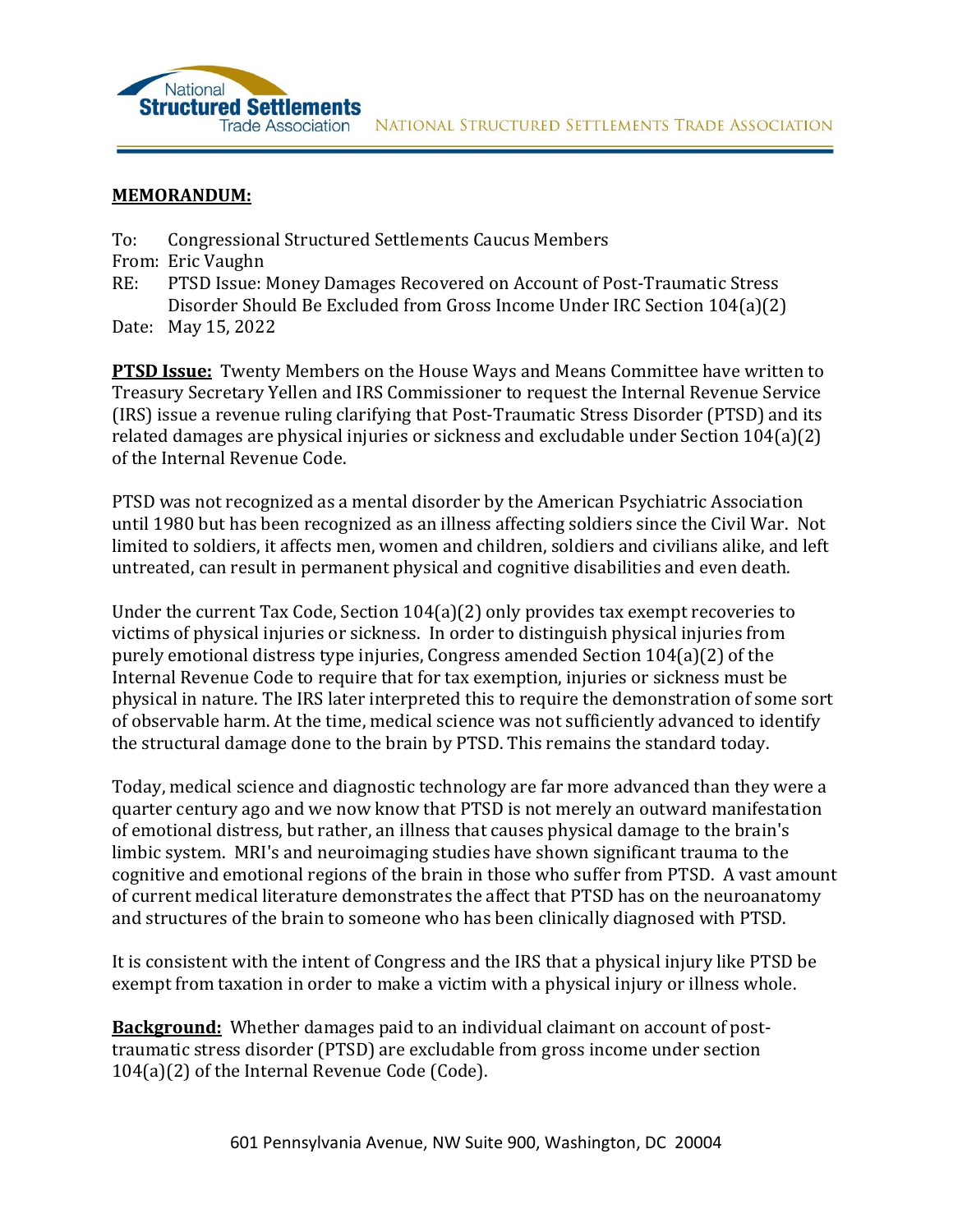

## **MEMORANDUM:**

- To: Congressional Structured Settlements Caucus Members
- From: Eric Vaughn
- RE: PTSD Issue: Money Damages Recovered on Account of Post-Traumatic Stress Disorder Should Be Excluded from Gross Income Under IRC Section 104(a)(2)
- Date: May 15, 2022

**PTSD Issue:** Twenty Members on the House Ways and Means Committee have written to Treasury Secretary Yellen and IRS Commissioner to request the Internal Revenue Service (IRS) issue a revenue ruling clarifying that Post-Traumatic Stress Disorder (PTSD) and its related damages are physical injuries or sickness and excludable under Section 104(a)(2) of the Internal Revenue Code.

PTSD was not recognized as a mental disorder by the American Psychiatric Association until 1980 but has been recognized as an illness affecting soldiers since the Civil War. Not limited to soldiers, it affects men, women and children, soldiers and civilians alike, and left untreated, can result in permanent physical and cognitive disabilities and even death.

Under the current Tax Code, Section 104(a)(2) only provides tax exempt recoveries to victims of physical injuries or sickness. In order to distinguish physical injuries from purely emotional distress type injuries, Congress amended Section 104(a)(2) of the Internal Revenue Code to require that for tax exemption, injuries or sickness must be physical in nature. The IRS later interpreted this to require the demonstration of some sort of observable harm. At the time, medical science was not sufficiently advanced to identify the structural damage done to the brain by PTSD. This remains the standard today.

Today, medical science and diagnostic technology are far more advanced than they were a quarter century ago and we now know that PTSD is not merely an outward manifestation of emotional distress, but rather, an illness that causes physical damage to the brain's limbic system. MRI's and neuroimaging studies have shown significant trauma to the cognitive and emotional regions of the brain in those who suffer from PTSD. A vast amount of current medical literature demonstrates the affect that PTSD has on the neuroanatomy and structures of the brain to someone who has been clinically diagnosed with PTSD.

It is consistent with the intent of Congress and the IRS that a physical injury like PTSD be exempt from taxation in order to make a victim with a physical injury or illness whole.

**Background:** Whether damages paid to an individual claimant on account of posttraumatic stress disorder (PTSD) are excludable from gross income under section 104(a)(2) of the Internal Revenue Code (Code).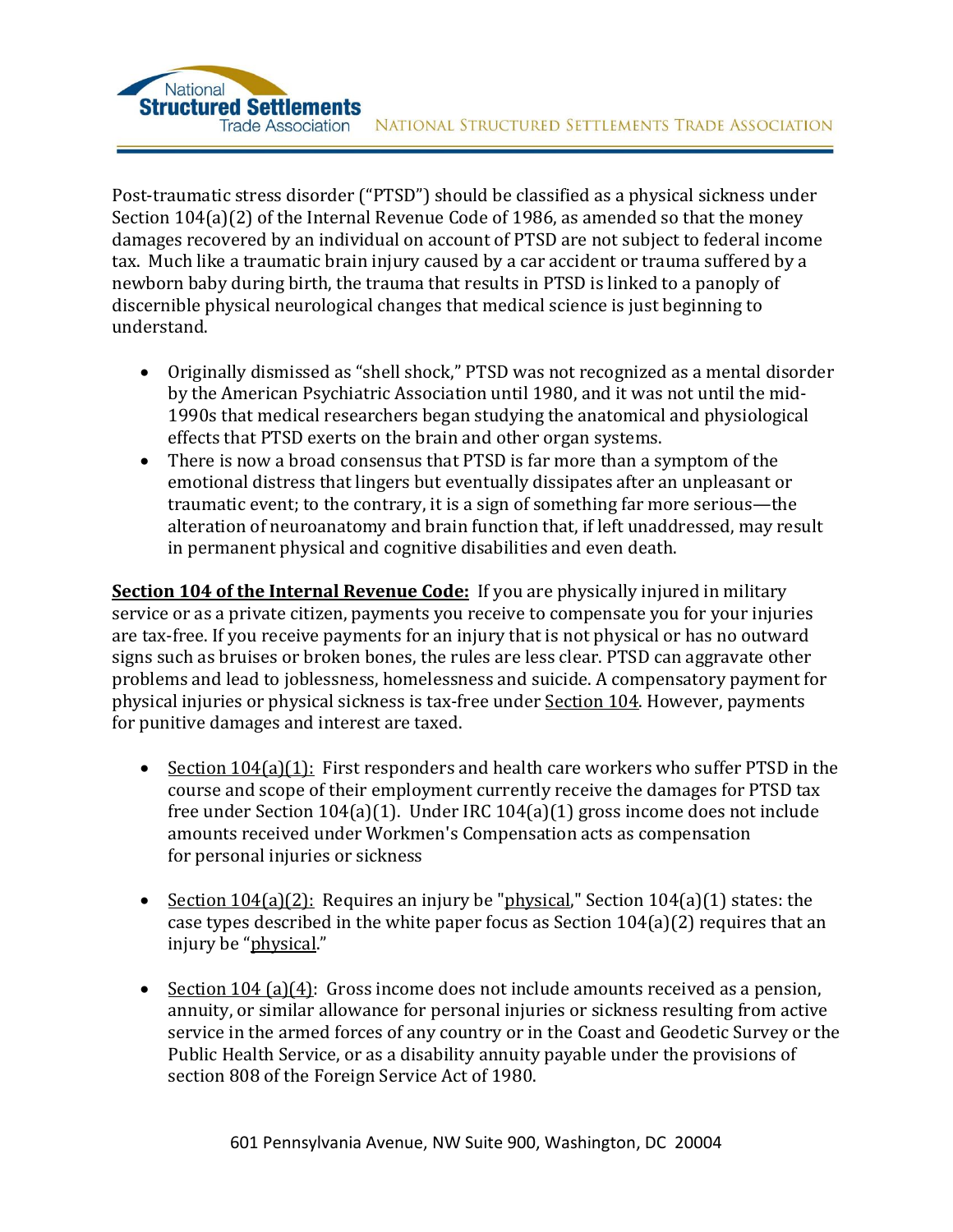Post-traumatic stress disorder ("PTSD") should be classified as a physical sickness under Section 104(a)(2) of the Internal Revenue Code of 1986, as amended so that the money damages recovered by an individual on account of PTSD are not subject to federal income tax. Much like a traumatic brain injury caused by a car accident or trauma suffered by a newborn baby during birth, the trauma that results in PTSD is linked to a panoply of discernible physical neurological changes that medical science is just beginning to understand.

National

- Originally dismissed as "shell shock," PTSD was not recognized as a mental disorder by the American Psychiatric Association until 1980, and it was not until the mid-1990s that medical researchers began studying the anatomical and physiological effects that PTSD exerts on the brain and other organ systems.
- There is now a broad consensus that PTSD is far more than a symptom of the emotional distress that lingers but eventually dissipates after an unpleasant or traumatic event; to the contrary, it is a sign of something far more serious—the alteration of neuroanatomy and brain function that, if left unaddressed, may result in permanent physical and cognitive disabilities and even death.

**Section 104 of the Internal Revenue Code:** If you are physically injured in military service or as a private citizen, payments you receive to compensate you for your injuries are tax-free. If you receive payments for an injury that is not physical or has no outward signs such as bruises or broken bones, the rules are less clear. PTSD can aggravate other problems and lead to joblessness, homelessness and suicide. A compensatory payment for physical injuries or physical sickness is tax-free under [Section 104.](http://www.law.cornell.edu/uscode/26/usc_sec_26_00000104----000-.html) However, payments for punitive damages and interest are taxed.

- Section 104(a)(1): First responders and health care workers who suffer PTSD in the course and scope of their employment currently receive the damages for PTSD tax free under Section 104(a)(1). Under IRC 104(a)(1) gross income does not include amounts received under Workmen's Compensation acts as compensation for personal injuries or sickness
- Section 104(a)(2): Requires an injury be "physical," Section 104(a)(1) states: the case types described in the white paper focus as Section 104(a)(2) requires that an injury be "physical."
- Section 104 (a)(4): Gross income does not include amounts received as a pension, annuity, or similar allowance for personal injuries or sickness resulting from active service in the armed forces of any country or in the Coast and Geodetic Survey or the Public Health Service, or as a disability annuity payable under the provisions of section 808 of the Foreign Service Act of 1980.